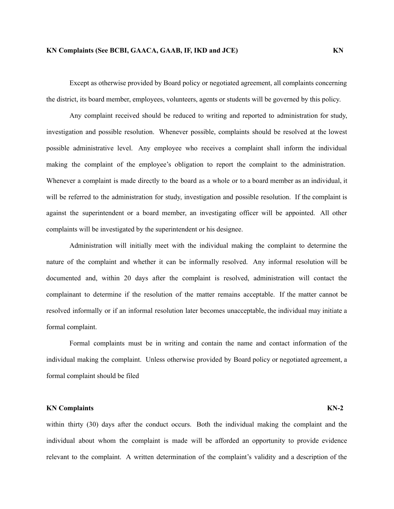Except as otherwise provided by Board policy or negotiated agreement, all complaints concerning the district, its board member, employees, volunteers, agents or students will be governed by this policy.

Any complaint received should be reduced to writing and reported to administration for study, investigation and possible resolution. Whenever possible, complaints should be resolved at the lowest possible administrative level. Any employee who receives a complaint shall inform the individual making the complaint of the employee's obligation to report the complaint to the administration. Whenever a complaint is made directly to the board as a whole or to a board member as an individual, it will be referred to the administration for study, investigation and possible resolution. If the complaint is against the superintendent or a board member, an investigating officer will be appointed. All other complaints will be investigated by the superintendent or his designee.

Administration will initially meet with the individual making the complaint to determine the nature of the complaint and whether it can be informally resolved. Any informal resolution will be documented and, within 20 days after the complaint is resolved, administration will contact the complainant to determine if the resolution of the matter remains acceptable. If the matter cannot be resolved informally or if an informal resolution later becomes unacceptable, the individual may initiate a formal complaint.

Formal complaints must be in writing and contain the name and contact information of the individual making the complaint. Unless otherwise provided by Board policy or negotiated agreement, a formal complaint should be filed

### **KN Complaints KN-2**

within thirty (30) days after the conduct occurs. Both the individual making the complaint and the individual about whom the complaint is made will be afforded an opportunity to provide evidence relevant to the complaint. A written determination of the complaint's validity and a description of the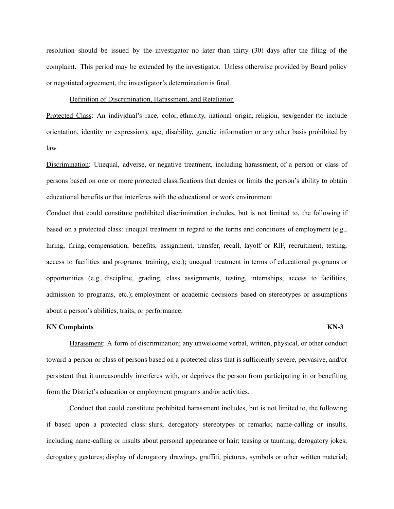resolution should be issued by the investigator no later than thirty (30) days after the filing of the complaint. This period may be extended by the investigator. Unless otherwise provided by Board policy or negotiated agreement, the investigator's determination is final.

# Definition of Discrimination, Harassment, and Retaliation

Protected Class: An individual's race, color, ethnicity, national origin, religion, sex/gender (to include orientation, identity or expression), age, disability, genetic information or any other basis prohibited by law.

Discrimination: Unequal, adverse, or negative treatment, including harassment, of a person or class of persons based on one or more protected classifications that denies or limits the person's ability to obtain educational benefits or that interferes with the educational or work environment

Conduct that could constitute prohibited discrimination includes, but is not limited to, the following if based on a protected class: unequal treatment in regard to the terms and conditions of employment (e.g., hiring, firing, compensation, benefits, assignment, transfer, recall, layoff or RIF, recruitment, testing, access to facilities and programs, training, etc.); unequal treatment in terms of educational programs or opportunities (e.g., discipline, grading, class assignments, testing, internships, access to facilities, admission to programs, etc.); employment or academic decisions based on stereotypes or assumptions about a person's abilities, traits, or performance.

### **KN Complaints KN-3**

Harassment: A form of discrimination; any unwelcome verbal, written, physical, or other conduct toward a person or class of persons based on a protected class that is sufficiently severe, pervasive, and/or persistent that it unreasonably interferes with, or deprives the person from participating in or benefiting from the District's education or employment programs and/or activities.

Conduct that could constitute prohibited harassment includes, but is not limited to, the following if based upon a protected class: slurs; derogatory stereotypes or remarks; name-calling or insults, including name-calling or insults about personal appearance or hair; teasing or taunting; derogatory jokes; derogatory gestures; display of derogatory drawings, graffiti, pictures, symbols or other written material;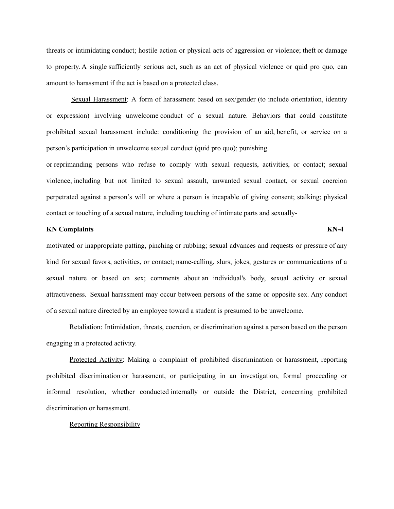threats or intimidating conduct; hostile action or physical acts of aggression or violence; theft or damage to property. A single sufficiently serious act, such as an act of physical violence or quid pro quo, can amount to harassment if the act is based on a protected class.

Sexual Harassment: A form of harassment based on sex/gender (to include orientation, identity or expression) involving unwelcome conduct of a sexual nature. Behaviors that could constitute prohibited sexual harassment include: conditioning the provision of an aid, benefit, or service on a person's participation in unwelcome sexual conduct (quid pro quo); punishing

or reprimanding persons who refuse to comply with sexual requests, activities, or contact; sexual violence, including but not limited to sexual assault, unwanted sexual contact, or sexual coercion perpetrated against a person's will or where a person is incapable of giving consent; stalking; physical contact or touching of a sexual nature, including touching of intimate parts and sexually-

# **KN Complaints KN-4**

motivated or inappropriate patting, pinching or rubbing; sexual advances and requests or pressure of any kind for sexual favors, activities, or contact; name-calling, slurs, jokes, gestures or communications of a sexual nature or based on sex; comments about an individual's body, sexual activity or sexual attractiveness. Sexual harassment may occur between persons of the same or opposite sex. Any conduct of a sexual nature directed by an employee toward a student is presumed to be unwelcome.

Retaliation: Intimidation, threats, coercion, or discrimination against a person based on the person engaging in a protected activity.

Protected Activity: Making a complaint of prohibited discrimination or harassment, reporting prohibited discrimination or harassment, or participating in an investigation, formal proceeding or informal resolution, whether conducted internally or outside the District, concerning prohibited discrimination or harassment.

### Reporting Responsibility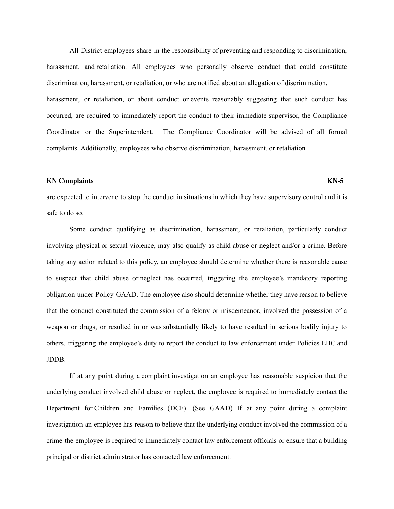All District employees share in the responsibility of preventing and responding to discrimination, harassment, and retaliation. All employees who personally observe conduct that could constitute discrimination, harassment, or retaliation, or who are notified about an allegation of discrimination, harassment, or retaliation, or about conduct or events reasonably suggesting that such conduct has occurred, are required to immediately report the conduct to their immediate supervisor, the Compliance Coordinator or the Superintendent. The Compliance Coordinator will be advised of all formal complaints. Additionally, employees who observe discrimination, harassment, or retaliation

# **KN Complaints KN-5**

are expected to intervene to stop the conduct in situations in which they have supervisory control and it is safe to do so.

Some conduct qualifying as discrimination, harassment, or retaliation, particularly conduct involving physical or sexual violence, may also qualify as child abuse or neglect and/or a crime. Before taking any action related to this policy, an employee should determine whether there is reasonable cause to suspect that child abuse or neglect has occurred, triggering the employee's mandatory reporting obligation under Policy GAAD. The employee also should determine whether they have reason to believe that the conduct constituted the commission of a felony or misdemeanor, involved the possession of a weapon or drugs, or resulted in or was substantially likely to have resulted in serious bodily injury to others, triggering the employee's duty to report the conduct to law enforcement under Policies EBC and JDDB.

If at any point during a complaint investigation an employee has reasonable suspicion that the underlying conduct involved child abuse or neglect, the employee is required to immediately contact the Department for Children and Families (DCF). (See GAAD) If at any point during a complaint investigation an employee has reason to believe that the underlying conduct involved the commission of a crime the employee is required to immediately contact law enforcement officials or ensure that a building principal or district administrator has contacted law enforcement.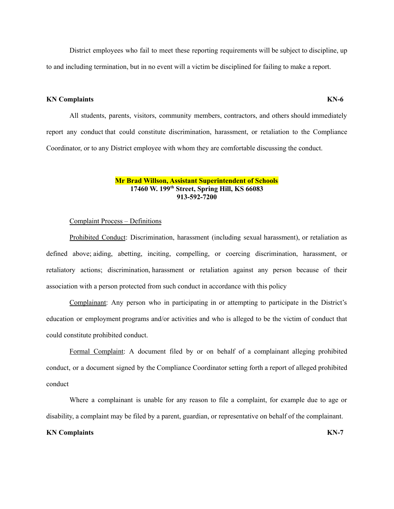District employees who fail to meet these reporting requirements will be subject to discipline, up to and including termination, but in no event will a victim be disciplined for failing to make a report.

# **KN Complaints KN-6**

All students, parents, visitors, community members, contractors, and others should immediately report any conduct that could constitute discrimination, harassment, or retaliation to the Compliance Coordinator, or to any District employee with whom they are comfortable discussing the conduct.

### **Mr Brad Willson, Assistant Superintendent of Schools 17460 W. 199 th Street, Spring Hill, KS 66083 913-592-7200**

### Complaint Process – Definitions

Prohibited Conduct: Discrimination, harassment (including sexual harassment), or retaliation as defined above; aiding, abetting, inciting, compelling, or coercing discrimination, harassment, or retaliatory actions; discrimination, harassment or retaliation against any person because of their association with a person protected from such conduct in accordance with this policy

Complainant: Any person who in participating in or attempting to participate in the District's education or employment programs and/or activities and who is alleged to be the victim of conduct that could constitute prohibited conduct.

Formal Complaint: A document filed by or on behalf of a complainant alleging prohibited conduct, or a document signed by the Compliance Coordinator setting forth a report of alleged prohibited conduct

Where a complainant is unable for any reason to file a complaint, for example due to age or disability, a complaint may be filed by a parent, guardian, or representative on behalf of the complainant.

# **KN Complaints KN-7**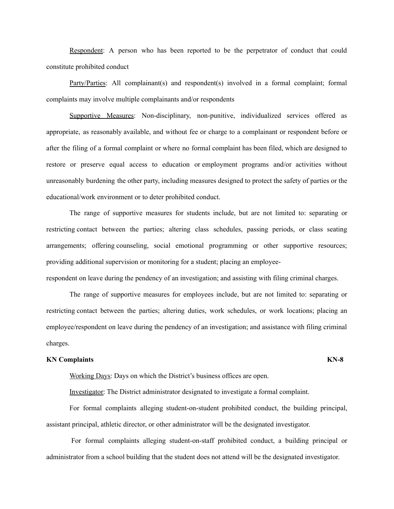Respondent: A person who has been reported to be the perpetrator of conduct that could constitute prohibited conduct

Party/Parties: All complainant(s) and respondent(s) involved in a formal complaint; formal complaints may involve multiple complainants and/or respondents

Supportive Measures: Non-disciplinary, non-punitive, individualized services offered as appropriate, as reasonably available, and without fee or charge to a complainant or respondent before or after the filing of a formal complaint or where no formal complaint has been filed, which are designed to restore or preserve equal access to education or employment programs and/or activities without unreasonably burdening the other party, including measures designed to protect the safety of parties or the educational/work environment or to deter prohibited conduct.

The range of supportive measures for students include, but are not limited to: separating or restricting contact between the parties; altering class schedules, passing periods, or class seating arrangements; offering counseling, social emotional programming or other supportive resources; providing additional supervision or monitoring for a student; placing an employeerespondent on leave during the pendency of an investigation; and assisting with filing criminal charges.

The range of supportive measures for employees include, but are not limited to: separating or restricting contact between the parties; altering duties, work schedules, or work locations; placing an employee/respondent on leave during the pendency of an investigation; and assistance with filing criminal charges.

### **KN Complaints KN-8**

Working Days: Days on which the District's business offices are open.

Investigator: The District administrator designated to investigate a formal complaint.

For formal complaints alleging student-on-student prohibited conduct, the building principal, assistant principal, athletic director, or other administrator will be the designated investigator.

For formal complaints alleging student-on-staff prohibited conduct, a building principal or administrator from a school building that the student does not attend will be the designated investigator.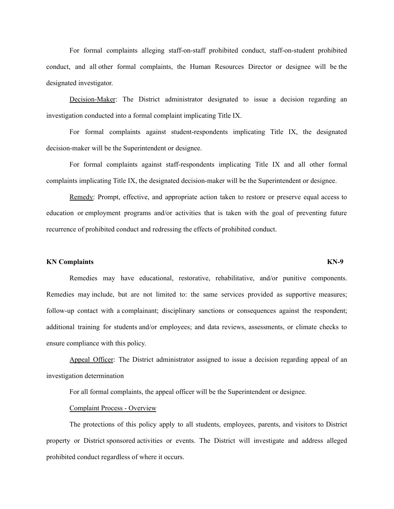For formal complaints alleging staff-on-staff prohibited conduct, staff-on-student prohibited conduct, and all other formal complaints, the Human Resources Director or designee will be the designated investigator.

Decision-Maker: The District administrator designated to issue a decision regarding an investigation conducted into a formal complaint implicating Title IX.

For formal complaints against student-respondents implicating Title IX, the designated decision-maker will be the Superintendent or designee.

For formal complaints against staff-respondents implicating Title IX and all other formal complaints implicating Title IX, the designated decision-maker will be the Superintendent or designee.

Remedy: Prompt, effective, and appropriate action taken to restore or preserve equal access to education or employment programs and/or activities that is taken with the goal of preventing future recurrence of prohibited conduct and redressing the effects of prohibited conduct.

# **KN Complaints KN-9**

Remedies may have educational, restorative, rehabilitative, and/or punitive components. Remedies may include, but are not limited to: the same services provided as supportive measures; follow-up contact with a complainant; disciplinary sanctions or consequences against the respondent; additional training for students and/or employees; and data reviews, assessments, or climate checks to ensure compliance with this policy.

Appeal Officer: The District administrator assigned to issue a decision regarding appeal of an investigation determination

For all formal complaints, the appeal officer will be the Superintendent or designee.

# Complaint Process - Overview

The protections of this policy apply to all students, employees, parents, and visitors to District property or District sponsored activities or events. The District will investigate and address alleged prohibited conduct regardless of where it occurs.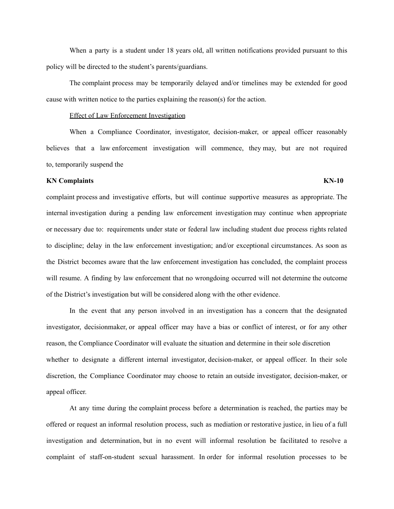When a party is a student under 18 years old, all written notifications provided pursuant to this policy will be directed to the student's parents/guardians.

The complaint process may be temporarily delayed and/or timelines may be extended for good cause with written notice to the parties explaining the reason(s) for the action.

### Effect of Law Enforcement Investigation

When a Compliance Coordinator, investigator, decision-maker, or appeal officer reasonably believes that a law enforcement investigation will commence, they may, but are not required to, temporarily suspend the

# **KN Complaints KN-10**

complaint process and investigative efforts, but will continue supportive measures as appropriate. The internal investigation during a pending law enforcement investigation may continue when appropriate or necessary due to: requirements under state or federal law including student due process rights related to discipline; delay in the law enforcement investigation; and/or exceptional circumstances. As soon as the District becomes aware that the law enforcement investigation has concluded, the complaint process will resume. A finding by law enforcement that no wrongdoing occurred will not determine the outcome of the District's investigation but will be considered along with the other evidence.

In the event that any person involved in an investigation has a concern that the designated investigator, decisionmaker, or appeal officer may have a bias or conflict of interest, or for any other reason, the Compliance Coordinator will evaluate the situation and determine in their sole discretion whether to designate a different internal investigator, decision-maker, or appeal officer. In their sole discretion, the Compliance Coordinator may choose to retain an outside investigator, decision-maker, or appeal officer.

At any time during the complaint process before a determination is reached, the parties may be offered or request an informal resolution process, such as mediation or restorative justice, in lieu of a full investigation and determination, but in no event will informal resolution be facilitated to resolve a complaint of staff-on-student sexual harassment. In order for informal resolution processes to be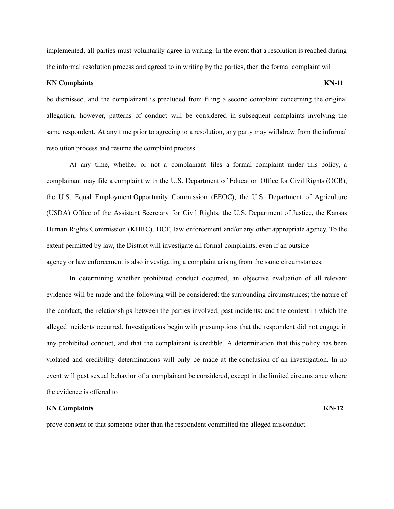implemented, all parties must voluntarily agree in writing. In the event that a resolution is reached during the informal resolution process and agreed to in writing by the parties, then the formal complaint will

### **KN Complaints KN-11**

be dismissed, and the complainant is precluded from filing a second complaint concerning the original allegation, however, patterns of conduct will be considered in subsequent complaints involving the same respondent. At any time prior to agreeing to a resolution, any party may withdraw from the informal resolution process and resume the complaint process.

At any time, whether or not a complainant files a formal complaint under this policy, a complainant may file a complaint with the U.S. Department of Education Office for Civil Rights (OCR), the U.S. Equal Employment Opportunity Commission (EEOC), the U.S. Department of Agriculture (USDA) Office of the Assistant Secretary for Civil Rights, the U.S. Department of Justice, the Kansas Human Rights Commission (KHRC), DCF, law enforcement and/or any other appropriate agency. To the extent permitted by law, the District will investigate all formal complaints, even if an outside agency or law enforcement is also investigating a complaint arising from the same circumstances.

In determining whether prohibited conduct occurred, an objective evaluation of all relevant evidence will be made and the following will be considered: the surrounding circumstances; the nature of the conduct; the relationships between the parties involved; past incidents; and the context in which the alleged incidents occurred. Investigations begin with presumptions that the respondent did not engage in any prohibited conduct, and that the complainant is credible. A determination that this policy has been violated and credibility determinations will only be made at the conclusion of an investigation. In no event will past sexual behavior of a complainant be considered, except in the limited circumstance where the evidence is offered to

### **KN Complaints KN-12**

prove consent or that someone other than the respondent committed the alleged misconduct.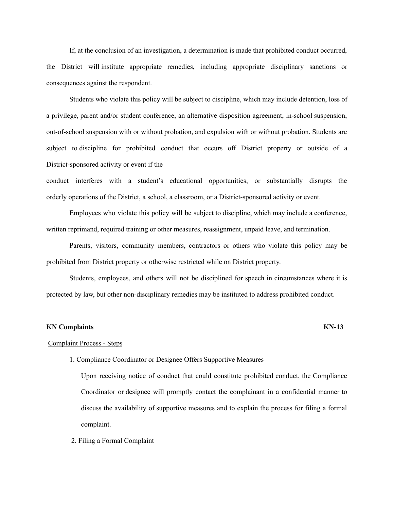If, at the conclusion of an investigation, a determination is made that prohibited conduct occurred, the District will institute appropriate remedies, including appropriate disciplinary sanctions or consequences against the respondent.

Students who violate this policy will be subject to discipline, which may include detention, loss of a privilege, parent and/or student conference, an alternative disposition agreement, in-school suspension, out-of-school suspension with or without probation, and expulsion with or without probation. Students are subject to discipline for prohibited conduct that occurs off District property or outside of a District-sponsored activity or event if the

conduct interferes with a student's educational opportunities, or substantially disrupts the orderly operations of the District, a school, a classroom, or a District-sponsored activity or event.

Employees who violate this policy will be subject to discipline, which may include a conference, written reprimand, required training or other measures, reassignment, unpaid leave, and termination.

Parents, visitors, community members, contractors or others who violate this policy may be prohibited from District property or otherwise restricted while on District property.

Students, employees, and others will not be disciplined for speech in circumstances where it is protected by law, but other non-disciplinary remedies may be instituted to address prohibited conduct.

### **KN Complaints KN-13**

## Complaint Process - Steps

1. Compliance Coordinator or Designee Offers Supportive Measures

Upon receiving notice of conduct that could constitute prohibited conduct, the Compliance Coordinator or designee will promptly contact the complainant in a confidential manner to discuss the availability of supportive measures and to explain the process for filing a formal complaint.

2. Filing a Formal Complaint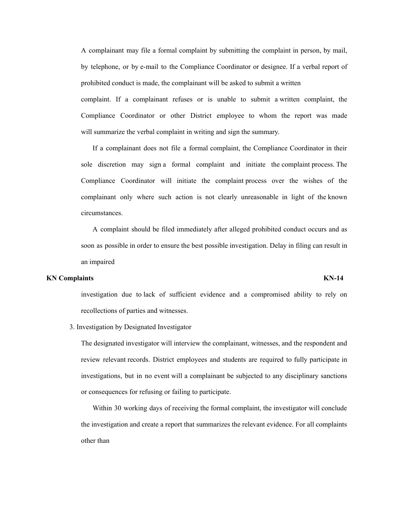A complainant may file a formal complaint by submitting the complaint in person, by mail, by telephone, or by e-mail to the Compliance Coordinator or designee. If a verbal report of prohibited conduct is made, the complainant will be asked to submit a written

complaint. If a complainant refuses or is unable to submit a written complaint, the Compliance Coordinator or other District employee to whom the report was made will summarize the verbal complaint in writing and sign the summary.

If a complainant does not file a formal complaint, the Compliance Coordinator in their sole discretion may sign a formal complaint and initiate the complaint process. The Compliance Coordinator will initiate the complaint process over the wishes of the complainant only where such action is not clearly unreasonable in light of the known circumstances.

A complaint should be filed immediately after alleged prohibited conduct occurs and as soon as possible in order to ensure the best possible investigation. Delay in filing can result in an impaired

## **KN Complaints KN-14**

investigation due to lack of sufficient evidence and a compromised ability to rely on recollections of parties and witnesses.

3. Investigation by Designated Investigator

The designated investigator will interview the complainant, witnesses, and the respondent and review relevant records. District employees and students are required to fully participate in investigations, but in no event will a complainant be subjected to any disciplinary sanctions or consequences for refusing or failing to participate.

Within 30 working days of receiving the formal complaint, the investigator will conclude the investigation and create a report that summarizes the relevant evidence. For all complaints other than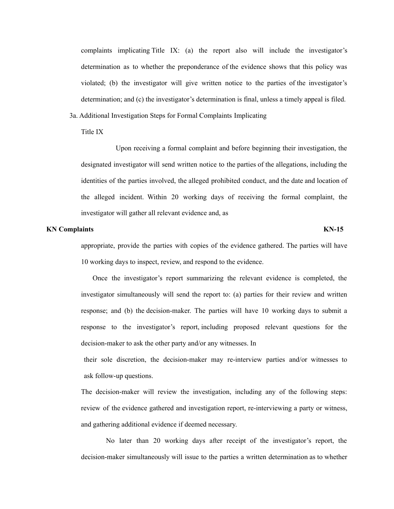complaints implicating Title IX: (a) the report also will include the investigator's determination as to whether the preponderance of the evidence shows that this policy was violated; (b) the investigator will give written notice to the parties of the investigator's determination; and (c) the investigator's determination is final, unless a timely appeal is filed.

3a. Additional Investigation Steps for Formal Complaints Implicating

Title IX

Upon receiving a formal complaint and before beginning their investigation, the designated investigator will send written notice to the parties of the allegations, including the identities of the parties involved, the alleged prohibited conduct, and the date and location of the alleged incident. Within 20 working days of receiving the formal complaint, the investigator will gather all relevant evidence and, as

# **KN Complaints KN-15**

appropriate, provide the parties with copies of the evidence gathered. The parties will have 10 working days to inspect, review, and respond to the evidence.

Once the investigator's report summarizing the relevant evidence is completed, the investigator simultaneously will send the report to: (a) parties for their review and written response; and (b) the decision-maker. The parties will have 10 working days to submit a response to the investigator's report, including proposed relevant questions for the decision-maker to ask the other party and/or any witnesses. In

their sole discretion, the decision-maker may re-interview parties and/or witnesses to ask follow-up questions.

The decision-maker will review the investigation, including any of the following steps: review of the evidence gathered and investigation report, re-interviewing a party or witness, and gathering additional evidence if deemed necessary.

No later than 20 working days after receipt of the investigator's report, the decision-maker simultaneously will issue to the parties a written determination as to whether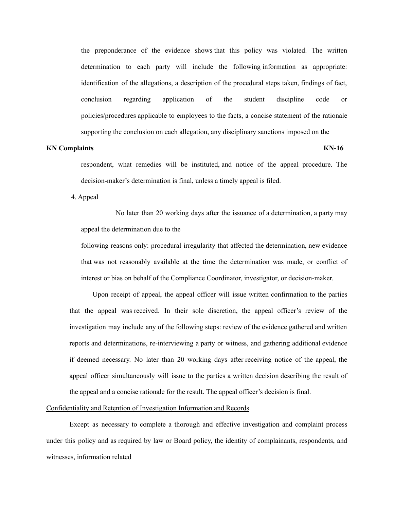the preponderance of the evidence shows that this policy was violated. The written determination to each party will include the following information as appropriate: identification of the allegations, a description of the procedural steps taken, findings of fact, conclusion regarding application of the student discipline code or policies/procedures applicable to employees to the facts, a concise statement of the rationale supporting the conclusion on each allegation, any disciplinary sanctions imposed on the

# **KN Complaints KN-16**

respondent, what remedies will be instituted, and notice of the appeal procedure. The decision-maker's determination is final, unless a timely appeal is filed.

4. Appeal

No later than 20 working days after the issuance of a determination, a party may appeal the determination due to the

following reasons only: procedural irregularity that affected the determination, new evidence that was not reasonably available at the time the determination was made, or conflict of interest or bias on behalf of the Compliance Coordinator, investigator, or decision-maker.

Upon receipt of appeal, the appeal officer will issue written confirmation to the parties that the appeal was received. In their sole discretion, the appeal officer's review of the investigation may include any of the following steps: review of the evidence gathered and written reports and determinations, re-interviewing a party or witness, and gathering additional evidence if deemed necessary. No later than 20 working days after receiving notice of the appeal, the appeal officer simultaneously will issue to the parties a written decision describing the result of the appeal and a concise rationale for the result. The appeal officer's decision is final.

# Confidentiality and Retention of Investigation Information and Records

Except as necessary to complete a thorough and effective investigation and complaint process under this policy and as required by law or Board policy, the identity of complainants, respondents, and witnesses, information related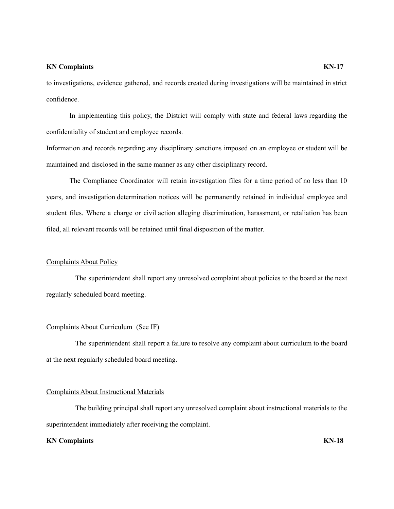### **KN Complaints KN-17**

to investigations, evidence gathered, and records created during investigations will be maintained in strict confidence.

In implementing this policy, the District will comply with state and federal laws regarding the confidentiality of student and employee records.

Information and records regarding any disciplinary sanctions imposed on an employee or student will be maintained and disclosed in the same manner as any other disciplinary record.

The Compliance Coordinator will retain investigation files for a time period of no less than 10 years, and investigation determination notices will be permanently retained in individual employee and student files. Where a charge or civil action alleging discrimination, harassment, or retaliation has been filed, all relevant records will be retained until final disposition of the matter.

# Complaints About Policy

The superintendent shall report any unresolved complaint about policies to the board at the next regularly scheduled board meeting.

# Complaints About Curriculum (See IF)

The superintendent shall report a failure to resolve any complaint about curriculum to the board at the next regularly scheduled board meeting.

# Complaints About Instructional Materials

The building principal shall report any unresolved complaint about instructional materials to the superintendent immediately after receiving the complaint.

### **KN Complaints KN-18**